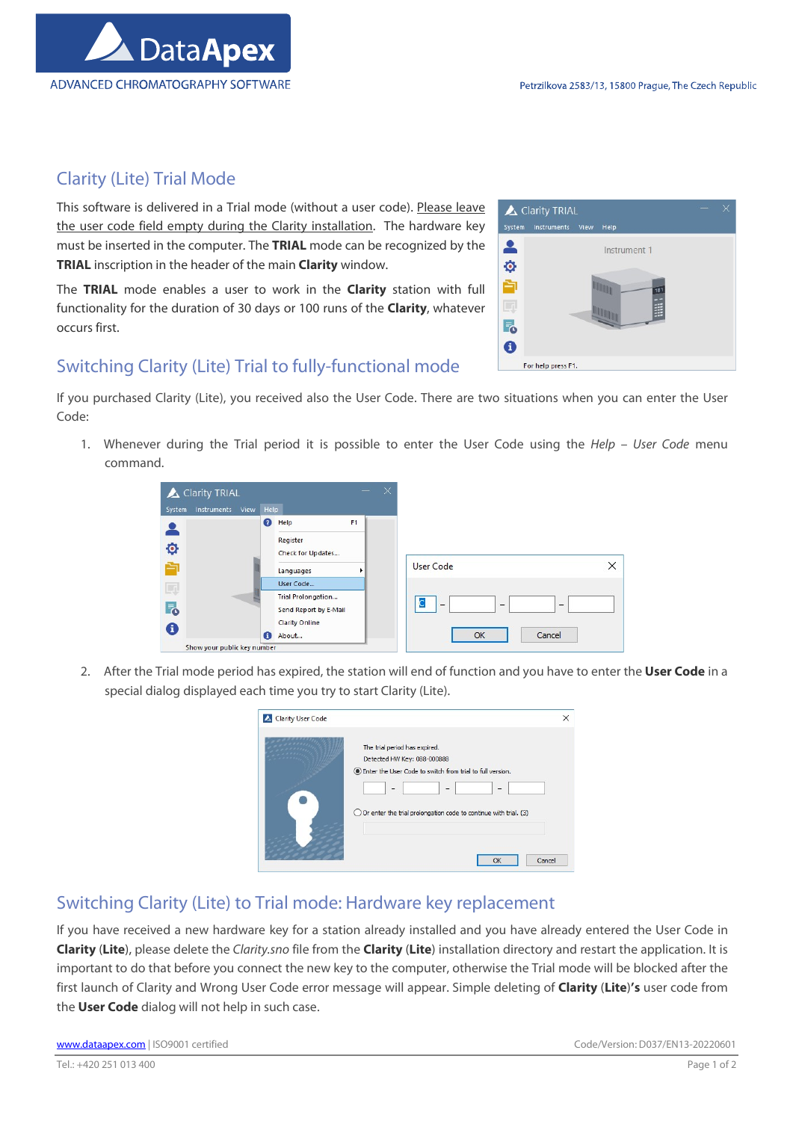

## Clarity (Lite) Trial Mode

This software is delivered in a Trial mode (without a user code). Please leave the user code field empty during the Clarity installation. The hardware key must be inserted in the computer. The TRIAL mode can be recognized by the TRIAL inscription in the header of the main Clarity window.

The TRIAL mode enables a user to work in the Clarity station with full functionality for the duration of 30 days or 100 runs of the Clarity, whatever occurs first.



## Switching Clarity (Lite) Trial to fully-functional mode

If you purchased Clarity (Lite), you received also the User Code. There are two situations when you can enter the User Code:

1. Whenever during the Trial period it is possible to enter the User Code using the Help – User Code menu command.



2. After the Trial mode period has expired, the station will end of function and you have to enter the User Code in a special dialog displayed each time you try to start Clarity (Lite).

| The trial period has expired.                                               |  |
|-----------------------------------------------------------------------------|--|
| Detected HW Key: 088-000888                                                 |  |
| Enter the User Code to switch from trial to full version.                   |  |
| $\overline{\phantom{a}}$<br>$\overline{\phantom{a}}$<br>-                   |  |
| $\bigcirc$ Or enter the trial prolongation code to continue with trial. (3) |  |
|                                                                             |  |
|                                                                             |  |

## Switching Clarity (Lite) to Trial mode: Hardware key replacement

If you have received a new hardware key for a station already installed and you have already entered the User Code in Clarity (Lite), please delete the Clarity.sno file from the Clarity (Lite) installation directory and restart the application. It is important to do that before you connect the new key to the computer, otherwise the Trial mode will be blocked after the first launch of Clarity and Wrong User Code error message will appear. Simple deleting of Clarity (Lite)'s user code from the User Code dialog will not help in such case.